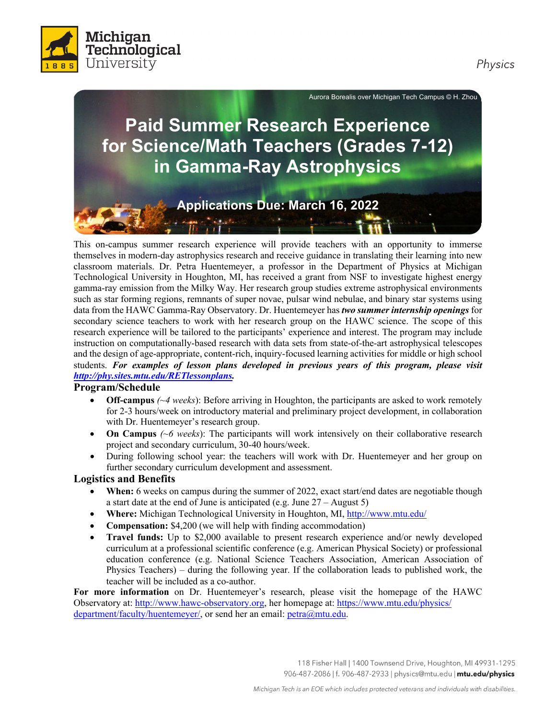



Aurora Borealis over Michigan Tech Campus © H. Zhou

# **for Science/Math Teachers (Grades 7-12) Paid Summer Research Experience in Gamma-Ray Astrophysics Applications Due: March 16, 2022**

 This on-campus summer research experience will provide teachers with an opportunity to immerse classroom materials. Dr. Petra Huentemeyer, a professor in the Department of Physics at Michigan Technological University in Houghton, MI, has received a grant from NSF to investigate highest energy gamma-ray emission from the Milky Way. Her research group studies extreme astrophysical environments such as star forming regions, remnants of super novae, pulsar wind nebulae, and binary star systems using themselves in modern-day astrophysics research and receive guidance in translating their learning into new

 secondary science teachers to work with her research group on the HAWC science. The scope of this research experience will be tailored to the participants' experience and interest. The program may include instruction on computationally-based research with data sets from state-of-the-art astrophysical telescopes and the design of age-appropriate, content-rich, inquiry-focused learning activities for middle or high school  students. *For examples of lesson plans developed in previous years of this program, please visit*  data from the HAWC Gamma-Ray Observatory. Dr. Huentemeyer has *two summer internship openings* for *[http://phy.sites.mtu.edu/RETlessonplans.](http://phy.sites.mtu.edu/RETlessonplans)* 

### **Program/Schedule**

- • **Off-campus** *(~4 weeks*): Before arriving in Houghton, the participants are asked to work remotely with Dr. Huentemeyer's research group. for 2-3 hours/week on introductory material and preliminary project development, in collaboration
- • **On Campus** *(~6 weeks*): The participants will work intensively on their collaborative research project and secondary curriculum, 30-40 hours/week.
- • During following school year: the teachers will work with Dr. Huentemeyer and her group on further secondary curriculum development and assessment.

### **Logistics and Benefits**

- • **When:** 6 weeks on campus during the summer of 2022, exact start/end dates are negotiable though a start date at the end of June is anticipated (e.g. June 27 – August 5)
- Where: Michigan Technological University in Houghton, MI, [http://www.mtu.edu/](http://www.mtu.edu)
- **Compensation:** \$4,200 (we will help with finding accommodation)
- curriculum at a professional scientific conference (e.g. American Physical Society) or professional education conference (e.g. National Science Teachers Association, American Association of Physics Teachers) – during the following year. If the collaboration leads to published work, the teacher will be included as a co-author. • **Travel funds:** Up to \$2,000 available to present research experience and/or newly developed

For more information on Dr. Huentemeyer's research, please visit the homepage of the HAWC Observatory at: <http://www.hawc-observatory.org>, her homepage at:<https://www.mtu.edu/physics>/ department/faculty/huentemeyer/, or send her an email: [petra@mtu.edu](mailto:petra@mtu.edu).